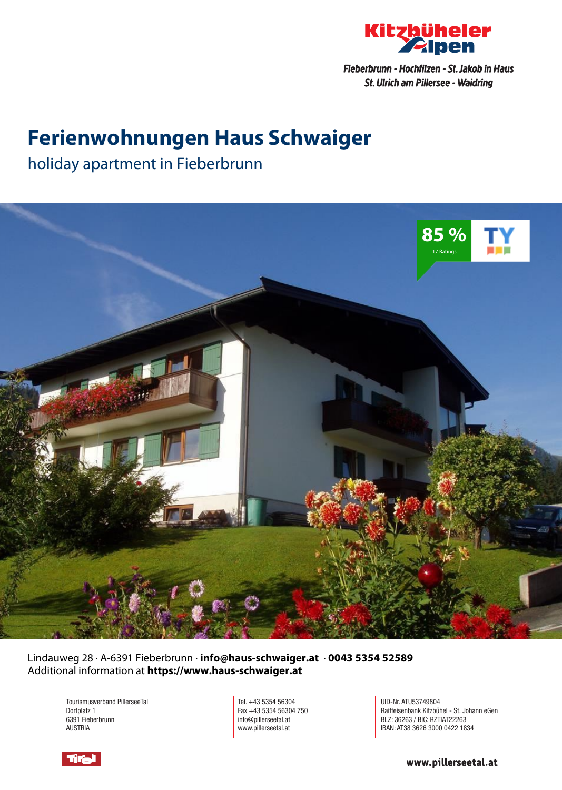

## **Ferienwohnungen Haus Schwaiger**

holiday apartment in Fieberbrunn



Lindauweg 28 · A-6391 Fieberbrunn · **info@haus-schwaiger.at** · **0043 5354 52589** Additional information at **https://www.haus-schwaiger.at**

Tourismusverband PillerseeTal Dorfplatz 1 6391 Fieberbrunn AUSTRIA

Tel. +43 5354 56304 Fax +43 5354 56304 750 info@pillerseetal.at www.pillerseetal.at

UID-Nr. ATU53749804 Raiffeisenbank Kitzbühel - St. Johann eGen BLZ: 36263 / BIC: RZTIAT22263 IBAN: AT38 3626 3000 0422 1834



www.pillerseetal.at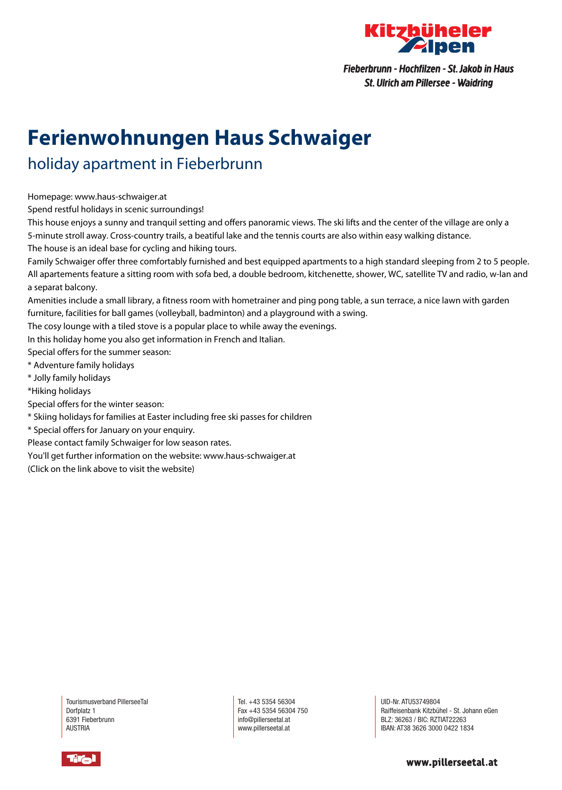

# **Ferienwohnungen Haus Schwaiger**

### holiday apartment in Fieberbrunn

Homepage: www.haus-schwaiger.at

Spend restful holidays in scenic surroundings!

This house enjoys <sup>a</sup> sunny and tranquil setting and offers panoramic views. The ski lifts and the center of the village are only <sup>a</sup> 5-minute stroll away. Cross-country trails, <sup>a</sup> beatiful lake and the tennis courts are also within easy walking distance. The house is an ideal base for cycling and hiking tours.

Family Schwaiger offer three comfortably furnished and best equipped apartments to <sup>a</sup> high standard sleeping from 2 to 5 people. All apartements feature <sup>a</sup> sitting room with sofa bed, <sup>a</sup> double bedroom, kitchenette, shower, WC, satellite TV and radio, w-lan and <sup>a</sup> separat balcony.

Amenities include <sup>a</sup> small library, <sup>a</sup> fitness room with hometrainer and ping pong table, <sup>a</sup> sun terrace, <sup>a</sup> nice lawn with garden furniture, facilities for ball games (volleyball, badminton) and <sup>a</sup> playground with <sup>a</sup> swing.

The cosy lounge with <sup>a</sup> tiled stove is <sup>a</sup> popular place to while away the evenings.

In this holiday home you also get information in French and Italian.

Special offers for the summer season:

\* Adventure family holidays

\* Jolly family holidays

\*Hiking holidays

Special offers for the winter season:

\* Skiing holidays for families at Easter including free ski passes for children

\* Special offers for January on your enquiry.

Please contact family Schwaiger for low season rates.

You'll get further information on the website: www.haus-schwaiger.at

(Click on the link above to visit the website)

Tourismusverband PillerseeTal Dorfplatz 1 6391 Fieberbrunn AUSTRIA

Tel. +43 5354 56304 Fax +43 5354 56304 750 info@pillerseetal.at www.pillerseetal.at

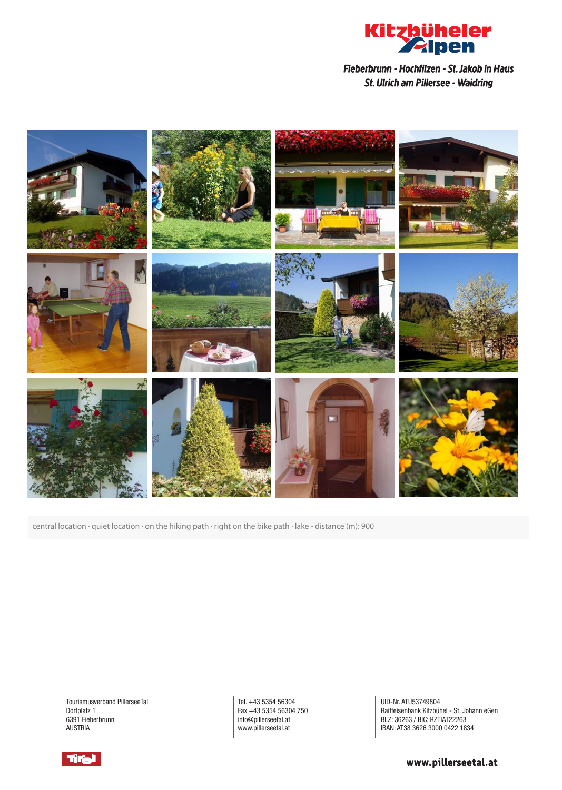



central location · quiet location · on the hiking path · right on the bike path · lake - distance (m): 900

Tourismusverband PillerseeTal Dorfplatz 1 6391 Fieberbrunn AUSTRIA

Tel. +43 5354 56304 Fax +43 5354 56304 750 info@pillerseetal.at www.pillerseetal.at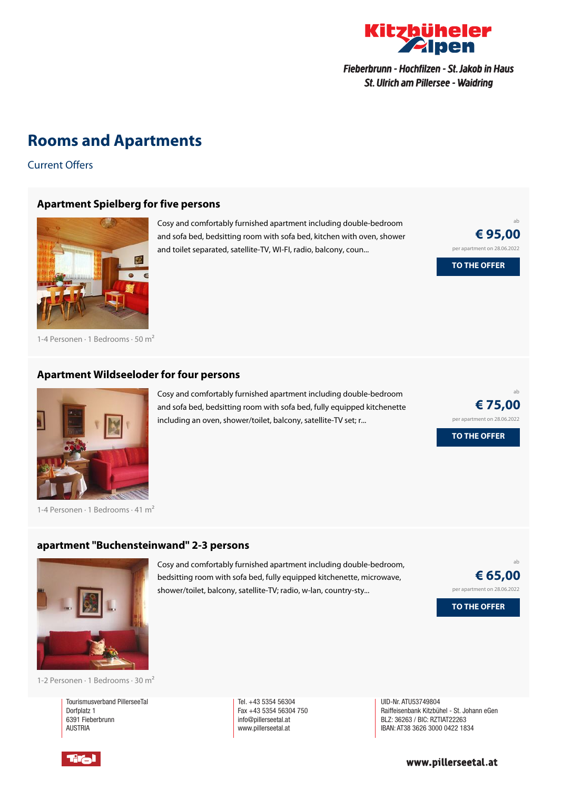

### **Rooms and Apartments**

Current Offers

#### **[Apartment](https://www.kitzbueheler-alpen.com/en/pital/accommodation/booking/ferienwohnungen-haus-schwaiger.html?utm_medium=PDF&utm_campaign=Vermieter-Prospekt&utm_source=Ferienwohnungen+Haus+Schwaiger) Spielberg for five persons**



1-4 Personen · 1 Bedrooms · 50 <sup>m</sup><sup>²</sup>

### **Apartment [Wildseeloder](https://www.kitzbueheler-alpen.com/en/pital/accommodation/booking/ferienwohnungen-haus-schwaiger.html?utm_medium=PDF&utm_campaign=Vermieter-Prospekt&utm_source=Ferienwohnungen+Haus+Schwaiger) for four persons**



1-4 Personen  $\cdot$  1 Bedrooms  $\cdot$  41 m<sup>2</sup>

Cosy and comfortably furnished apartment including double-bedroom and sofa bed, bedsitting room with sofa bed, fully equipped kitchenette including an oven, shower/toilet, balcony, satellite-TV set; r...

Cosy and comfortably furnished apartment including double-bedroom and sofa bed, bedsitting room with sofa bed, kitchen with oven, shower

and toilet separated, satellite-TV, WI-FI, radio, balcony, coun...

ab **€ 75,00** per apartment on 28.06.2022

ab

**€ 95,00** per apartment on 28.06.2022

**TO THE OFFER**

**TO THE OFFER**

#### **apartment ["Buchensteinwand"](https://www.kitzbueheler-alpen.com/en/pital/accommodation/booking/ferienwohnungen-haus-schwaiger.html?utm_medium=PDF&utm_campaign=Vermieter-Prospekt&utm_source=Ferienwohnungen+Haus+Schwaiger) 2-3 persons**



Cosy and comfortably furnished apartment including double-bedroom, bedsitting room with sofa bed, fully equipped kitchenette, microwave, shower/toilet, balcony, satellite-TV; radio, w-lan, country-sty...



1-2 Personen · 1 Bedrooms · 30 <sup>m</sup><sup>²</sup>

Tourismusverband PillerseeTal Dorfplatz 1 6391 Fieberbrunn AUSTRIA

Tel. +43 5354 56304 Fax +43 5354 56304 750 info@pillerseetal.at www.pillerseetal.at